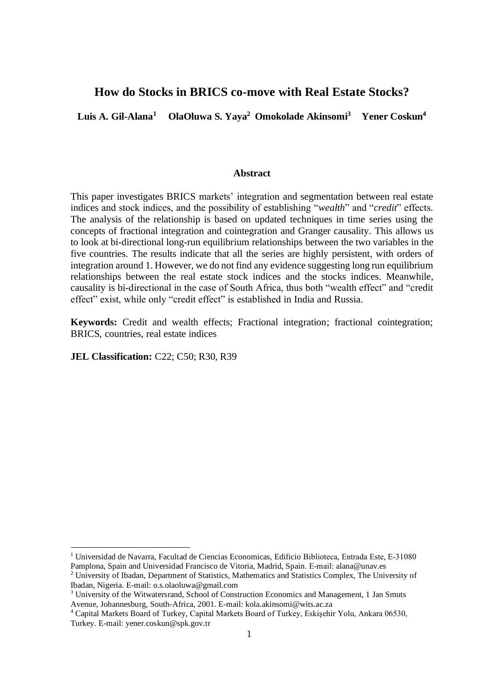# **How do Stocks in BRICS co-move with Real Estate Stocks?**

**Luis A. Gil-Alana<sup>1</sup>OlaOluwa S. Yaya<sup>2</sup> Omokolade Akinsomi<sup>3</sup> Yener Coskun<sup>4</sup>**

## **Abstract**

This paper investigates BRICS markets' integration and segmentation between real estate indices and stock indices, and the possibility of establishing "*wealth*" and "*credit*" effects. The analysis of the relationship is based on updated techniques in time series using the concepts of fractional integration and cointegration and Granger causality. This allows us to look at bi-directional long-run equilibrium relationships between the two variables in the five countries. The results indicate that all the series are highly persistent, with orders of integration around 1. However, we do not find any evidence suggesting long run equilibrium relationships between the real estate stock indices and the stocks indices. Meanwhile, causality is bi-directional in the case of South Africa, thus both "wealth effect" and "credit effect" exist, while only "credit effect" is established in India and Russia.

**Keywords:** Credit and wealth effects; Fractional integration; fractional cointegration; BRICS, countries, real estate indices

**JEL Classification:** C22; C50; R30, R39

<sup>1</sup> Universidad de Navarra, Facultad de Ciencias Economicas, Edificio Biblioteca, Entrada Este, E‐31080 Pamplona, Spain and Universidad Francisco de Vitoria, Madrid, Spain. E‐mail: [alana@unav.es](mailto:alana@unav.es)

<sup>&</sup>lt;sup>2</sup> University of Ibadan, Department of Statistics, Mathematics and Statistics Complex, The University of Ibadan, Nigeria. E-mail: o.s.olaoluwa@gmail.com

 $3$  University of the Witwatersrand, School of Construction Economics and Management, 1 Jan Smuts Avenue, Johannesburg, South-Africa, 2001. E-mail: kola.akinsomi@wits.ac.za

<sup>4</sup> Capital Markets Board of Turkey, Capital Markets Board of Turkey, Eskişehir Yolu, Ankara 06530, Turkey. E-mail: yener.coskun@spk.gov.tr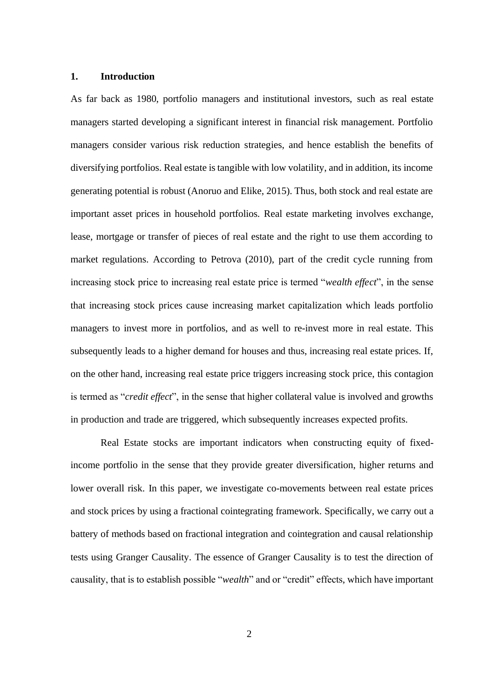## **1. Introduction**

As far back as 1980, portfolio managers and institutional investors, such as real estate managers started developing a significant interest in financial risk management. Portfolio managers consider various risk reduction strategies, and hence establish the benefits of diversifying portfolios. Real estate is tangible with low volatility, and in addition, its income generating potential is robust (Anoruo and Elike, 2015). Thus, both stock and real estate are important asset prices in household portfolios. Real estate marketing involves exchange, lease, mortgage or transfer of pieces of real estate and the right to use them according to market regulations. According to Petrova (2010), part of the credit cycle running from increasing stock price to increasing real estate price is termed "*wealth effect*", in the sense that increasing stock prices cause increasing market capitalization which leads portfolio managers to invest more in portfolios, and as well to re-invest more in real estate. This subsequently leads to a higher demand for houses and thus, increasing real estate prices. If, on the other hand, increasing real estate price triggers increasing stock price, this contagion is termed as "*credit effect*", in the sense that higher collateral value is involved and growths in production and trade are triggered, which subsequently increases expected profits.

Real Estate stocks are important indicators when constructing equity of fixedincome portfolio in the sense that they provide greater diversification, higher returns and lower overall risk. In this paper, we investigate co-movements between real estate prices and stock prices by using a fractional cointegrating framework. Specifically, we carry out a battery of methods based on fractional integration and cointegration and causal relationship tests using Granger Causality. The essence of Granger Causality is to test the direction of causality, that is to establish possible "*wealth*" and or "credit" effects, which have important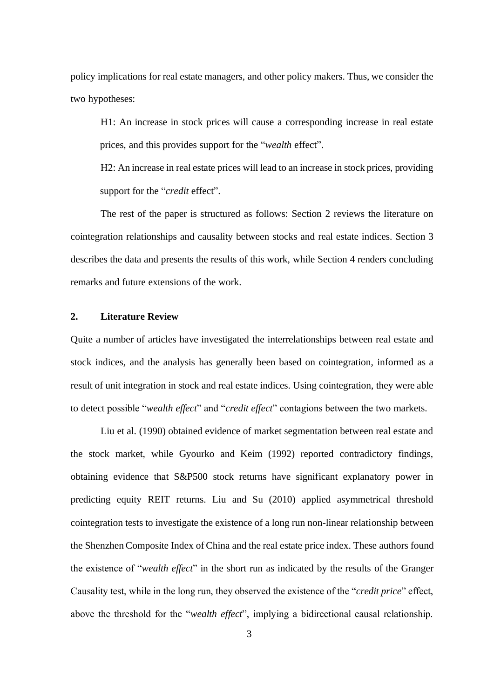policy implications for real estate managers, and other policy makers. Thus, we consider the two hypotheses:

H1: An increase in stock prices will cause a corresponding increase in real estate prices, and this provides support for the "*wealth* effect".

H2: An increase in real estate prices will lead to an increase in stock prices, providing support for the "*credit* effect".

The rest of the paper is structured as follows: Section 2 reviews the literature on cointegration relationships and causality between stocks and real estate indices. Section 3 describes the data and presents the results of this work, while Section 4 renders concluding remarks and future extensions of the work.

## **2. Literature Review**

Quite a number of articles have investigated the interrelationships between real estate and stock indices, and the analysis has generally been based on cointegration, informed as a result of unit integration in stock and real estate indices. Using cointegration, they were able to detect possible "*wealth effect*" and "*credit effect*" contagions between the two markets.

Liu et al. (1990) obtained evidence of market segmentation between real estate and the stock market, while Gyourko and Keim (1992) reported contradictory findings, obtaining evidence that S&P500 stock returns have significant explanatory power in predicting equity REIT returns. Liu and Su (2010) applied asymmetrical threshold cointegration tests to investigate the existence of a long run non-linear relationship between the Shenzhen Composite Index of China and the real estate price index. These authors found the existence of "*wealth effect*" in the short run as indicated by the results of the Granger Causality test, while in the long run, they observed the existence of the "*credit price*" effect, above the threshold for the "*wealth effect*", implying a bidirectional causal relationship.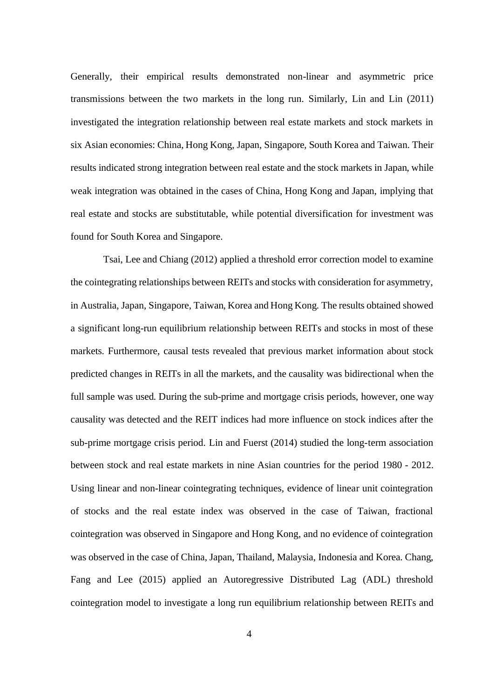Generally, their empirical results demonstrated non-linear and asymmetric price transmissions between the two markets in the long run. Similarly, Lin and Lin (2011) investigated the integration relationship between real estate markets and stock markets in six Asian economies: China, Hong Kong, Japan, Singapore, South Korea and Taiwan. Their results indicated strong integration between real estate and the stock markets in Japan, while weak integration was obtained in the cases of China, Hong Kong and Japan, implying that real estate and stocks are substitutable, while potential diversification for investment was found for South Korea and Singapore.

Tsai, Lee and Chiang (2012) applied a threshold error correction model to examine the cointegrating relationships between REITs and stocks with consideration for asymmetry, in Australia, Japan, Singapore, Taiwan, Korea and Hong Kong. The results obtained showed a significant long-run equilibrium relationship between REITs and stocks in most of these markets. Furthermore, causal tests revealed that previous market information about stock predicted changes in REITs in all the markets, and the causality was bidirectional when the full sample was used. During the sub-prime and mortgage crisis periods, however, one way causality was detected and the REIT indices had more influence on stock indices after the sub-prime mortgage crisis period. Lin and Fuerst (2014) studied the long-term association between stock and real estate markets in nine Asian countries for the period 1980 - 2012. Using linear and non-linear cointegrating techniques, evidence of linear unit cointegration of stocks and the real estate index was observed in the case of Taiwan, fractional cointegration was observed in Singapore and Hong Kong, and no evidence of cointegration was observed in the case of China, Japan, Thailand, Malaysia, Indonesia and Korea. Chang, Fang and Lee (2015) applied an Autoregressive Distributed Lag (ADL) threshold cointegration model to investigate a long run equilibrium relationship between REITs and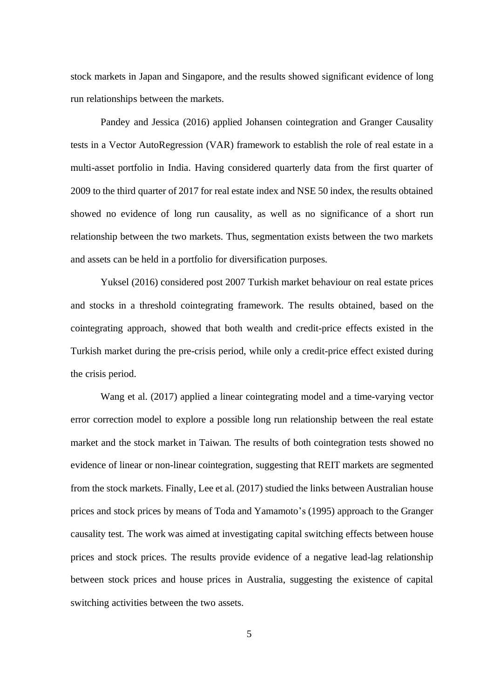stock markets in Japan and Singapore, and the results showed significant evidence of long run relationships between the markets.

Pandey and Jessica (2016) applied Johansen cointegration and Granger Causality tests in a Vector AutoRegression (VAR) framework to establish the role of real estate in a multi-asset portfolio in India. Having considered quarterly data from the first quarter of 2009 to the third quarter of 2017 for real estate index and NSE 50 index, the results obtained showed no evidence of long run causality, as well as no significance of a short run relationship between the two markets. Thus, segmentation exists between the two markets and assets can be held in a portfolio for diversification purposes.

Yuksel (2016) considered post 2007 Turkish market behaviour on real estate prices and stocks in a threshold cointegrating framework. The results obtained, based on the cointegrating approach, showed that both wealth and credit-price effects existed in the Turkish market during the pre-crisis period, while only a credit-price effect existed during the crisis period.

Wang et al. (2017) applied a linear cointegrating model and a time-varying vector error correction model to explore a possible long run relationship between the real estate market and the stock market in Taiwan. The results of both cointegration tests showed no evidence of linear or non-linear cointegration, suggesting that REIT markets are segmented from the stock markets. Finally, Lee et al. (2017) studied the links between Australian house prices and stock prices by means of Toda and Yamamoto's (1995) approach to the Granger causality test. The work was aimed at investigating capital switching effects between house prices and stock prices. The results provide evidence of a negative lead-lag relationship between stock prices and house prices in Australia, suggesting the existence of capital switching activities between the two assets.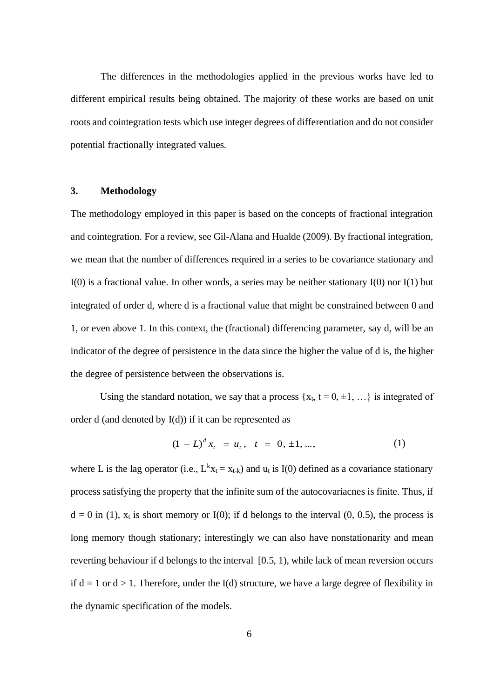The differences in the methodologies applied in the previous works have led to different empirical results being obtained. The majority of these works are based on unit roots and cointegration tests which use integer degrees of differentiation and do not consider potential fractionally integrated values.

## **3. Methodology**

The methodology employed in this paper is based on the concepts of fractional integration and cointegration. For a review, see Gil-Alana and Hualde (2009). By fractional integration, we mean that the number of differences required in a series to be covariance stationary and  $I(0)$  is a fractional value. In other words, a series may be neither stationary  $I(0)$  nor  $I(1)$  but integrated of order d, where d is a fractional value that might be constrained between 0 and 1, or even above 1. In this context, the (fractional) differencing parameter, say d, will be an indicator of the degree of persistence in the data since the higher the value of d is, the higher the degree of persistence between the observations is.

Using the standard notation, we say that a process  $\{x_t, t = 0, \pm 1, ...\}$  is integrated of order  $d$  (and denoted by  $I(d)$ ) if it can be represented as

$$
(1 - L)^d x_t = u_t, \quad t = 0, \pm 1, \dots,
$$
 (1)

where L is the lag operator (i.e.,  $L^k x_t = x_{t-k}$ ) and  $u_t$  is I(0) defined as a covariance stationary process satisfying the property that the infinite sum of the autocovariacnes is finite. Thus, if  $d = 0$  in (1),  $x_t$  is short memory or I(0); if d belongs to the interval (0, 0.5), the process is long memory though stationary; interestingly we can also have nonstationarity and mean reverting behaviour if d belongs to the interval [0.5, 1), while lack of mean reversion occurs if  $d = 1$  or  $d > 1$ . Therefore, under the I(d) structure, we have a large degree of flexibility in the dynamic specification of the models.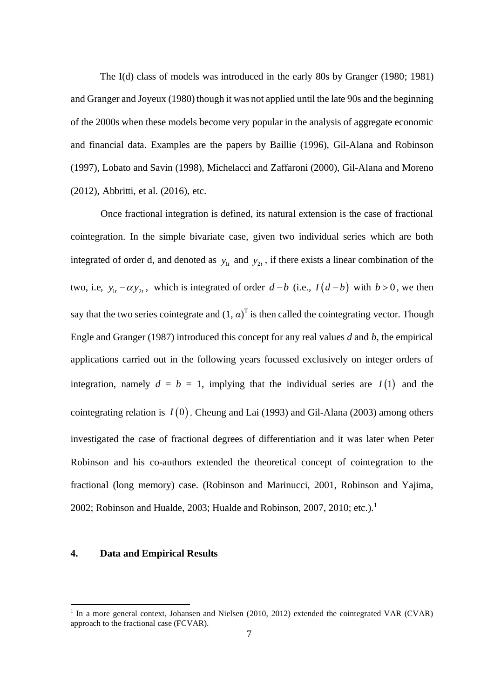The I(d) class of models was introduced in the early 80s by Granger (1980; 1981) and Granger and Joyeux (1980) though it was not applied until the late 90s and the beginning of the 2000s when these models become very popular in the analysis of aggregate economic and financial data. Examples are the papers by Baillie (1996), Gil-Alana and Robinson (1997), Lobato and Savin (1998), Michelacci and Zaffaroni (2000), Gil-Alana and Moreno (2012), Abbritti, et al. (2016), etc.

Once fractional integration is defined, its natural extension is the case of fractional cointegration. In the simple bivariate case, given two individual series which are both integrated of order d, and denoted as  $y_{1t}$  and  $y_{2t}$ , if there exists a linear combination of the two, i.e,  $y_{1t} - \alpha y_{2t}$ , which is integrated of order  $d-b$  (i.e.,  $I(d-b)$  with  $b > 0$ , we then say that the two series cointegrate and  $(1, \alpha)^T$  is then called the cointegrating vector. Though Engle and Granger (1987) introduced this concept for any real values *d* and *b*, the empirical applications carried out in the following years focussed exclusively on integer orders of integration, namely  $d = b = 1$ , implying that the individual series are  $I(1)$  and the cointegrating relation is  $I(0)$ . Cheung and Lai (1993) and Gil-Alana (2003) among others investigated the case of fractional degrees of differentiation and it was later when Peter Robinson and his co-authors extended the theoretical concept of cointegration to the fractional (long memory) case. (Robinson and Marinucci, 2001, Robinson and Yajima, 2002; Robinson and Hualde, 2003; Hualde and Robinson, 2007, 2010; etc.).<sup>1</sup>

#### **4. Data and Empirical Results**

<sup>&</sup>lt;sup>1</sup> In a more general context, Johansen and Nielsen (2010, 2012) extended the cointegrated VAR (CVAR) approach to the fractional case (FCVAR).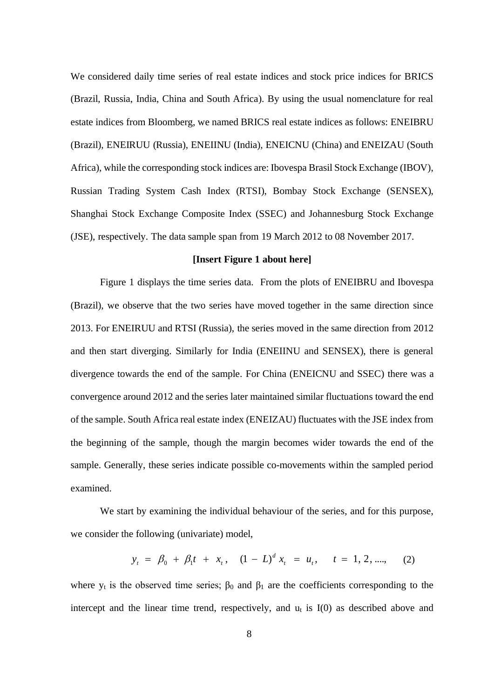We considered daily time series of real estate indices and stock price indices for BRICS (Brazil, Russia, India, China and South Africa). By using the usual nomenclature for real estate indices from Bloomberg, we named BRICS real estate indices as follows: ENEIBRU (Brazil), ENEIRUU (Russia), ENEIINU (India), ENEICNU (China) and ENEIZAU (South Africa), while the corresponding stock indices are: Ibovespa Brasil Stock Exchange (IBOV), Russian Trading System Cash Index (RTSI), Bombay Stock Exchange (SENSEX), Shanghai Stock Exchange Composite Index (SSEC) and Johannesburg Stock Exchange (JSE), respectively. The data sample span from 19 March 2012 to 08 November 2017.

## **[Insert Figure 1 about here]**

Figure 1 displays the time series data.From the plots of ENEIBRU and Ibovespa (Brazil), we observe that the two series have moved together in the same direction since 2013. For ENEIRUU and RTSI (Russia), the series moved in the same direction from 2012 and then start diverging. Similarly for India (ENEIINU and SENSEX), there is general divergence towards the end of the sample. For China (ENEICNU and SSEC) there was a convergence around 2012 and the series later maintained similar fluctuations toward the end of the sample. South Africa real estate index (ENEIZAU) fluctuates with the JSE index from the beginning of the sample, though the margin becomes wider towards the end of the sample. Generally, these series indicate possible co-movements within the sampled period examined.

We start by examining the individual behaviour of the series, and for this purpose, we consider the following (univariate) model,

$$
y_t = \beta_0 + \beta_1 t + x_t, \quad (1 - L)^d x_t = u_t, \quad t = 1, 2, \dots, \tag{2}
$$

where  $y_t$  is the observed time series;  $\beta_0$  and  $\beta_1$  are the coefficients corresponding to the intercept and the linear time trend, respectively, and  $u_t$  is  $I(0)$  as described above and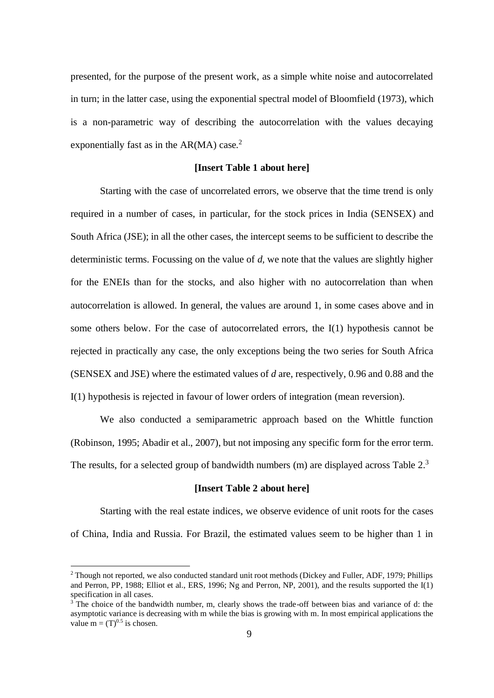presented, for the purpose of the present work, as a simple white noise and autocorrelated in turn; in the latter case, using the exponential spectral model of Bloomfield (1973), which is a non-parametric way of describing the autocorrelation with the values decaying exponentially fast as in the  $AR(MA)$  case.<sup>2</sup>

#### **[Insert Table 1 about here]**

Starting with the case of uncorrelated errors, we observe that the time trend is only required in a number of cases, in particular, for the stock prices in India (SENSEX) and South Africa (JSE); in all the other cases, the intercept seems to be sufficient to describe the deterministic terms. Focussing on the value of *d,* we note that the values are slightly higher for the ENEIs than for the stocks, and also higher with no autocorrelation than when autocorrelation is allowed. In general, the values are around 1, in some cases above and in some others below. For the case of autocorrelated errors, the I(1) hypothesis cannot be rejected in practically any case, the only exceptions being the two series for South Africa (SENSEX and JSE) where the estimated values of *d* are, respectively, 0.96 and 0.88 and the I(1) hypothesis is rejected in favour of lower orders of integration (mean reversion).

We also conducted a semiparametric approach based on the Whittle function (Robinson, 1995; Abadir et al., 2007), but not imposing any specific form for the error term. The results, for a selected group of bandwidth numbers (m) are displayed across Table  $2<sup>3</sup>$ 

#### **[Insert Table 2 about here]**

Starting with the real estate indices, we observe evidence of unit roots for the cases of China, India and Russia. For Brazil, the estimated values seem to be higher than 1 in

<sup>&</sup>lt;sup>2</sup> Though not reported, we also conducted standard unit root methods (Dickey and Fuller, ADF, 1979; Phillips and Perron, PP, 1988; Elliot et al., ERS, 1996; Ng and Perron, NP, 2001), and the results supported the I(1) specification in all cases.

 $3^{\circ}$ The choice of the bandwidth number, m, clearly shows the trade-off between bias and variance of d: the asymptotic variance is decreasing with m while the bias is growing with m. In most empirical applications the value  $m = (T)^{0.5}$  is chosen.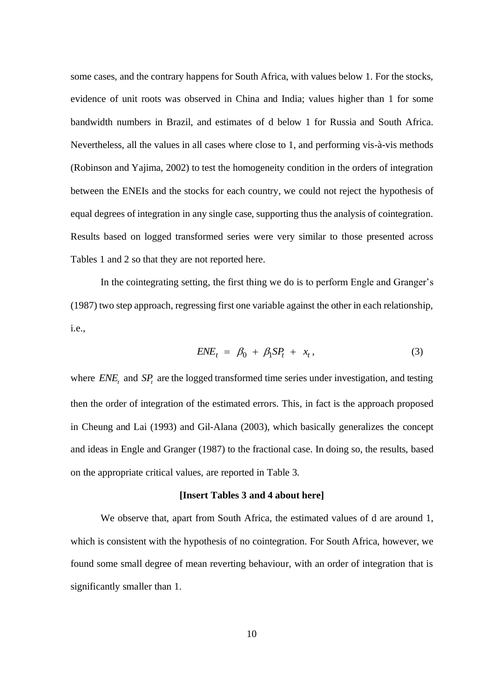some cases, and the contrary happens for South Africa, with values below 1. For the stocks, evidence of unit roots was observed in China and India; values higher than 1 for some bandwidth numbers in Brazil, and estimates of d below 1 for Russia and South Africa. Nevertheless, all the values in all cases where close to 1, and performing vis-à-vis methods (Robinson and Yajima, 2002) to test the homogeneity condition in the orders of integration between the ENEIs and the stocks for each country, we could not reject the hypothesis of equal degrees of integration in any single case, supporting thus the analysis of cointegration. Results based on logged transformed series were very similar to those presented across Tables 1 and 2 so that they are not reported here.

In the cointegrating setting, the first thing we do is to perform Engle and Granger's (1987) two step approach, regressing first one variable against the other in each relationship, i.e.,

$$
ENE_t = \beta_0 + \beta_1 SP_t + x_t, \qquad (3)
$$

where  $ENE_t$  and  $SP_t$  are the logged transformed time series under investigation, and testing then the order of integration of the estimated errors. This, in fact is the approach proposed in Cheung and Lai (1993) and Gil-Alana (2003), which basically generalizes the concept and ideas in Engle and Granger (1987) to the fractional case. In doing so, the results, based on the appropriate critical values, are reported in Table 3.

#### **[Insert Tables 3 and 4 about here]**

We observe that, apart from South Africa, the estimated values of d are around 1, which is consistent with the hypothesis of no cointegration. For South Africa, however, we found some small degree of mean reverting behaviour, with an order of integration that is significantly smaller than 1.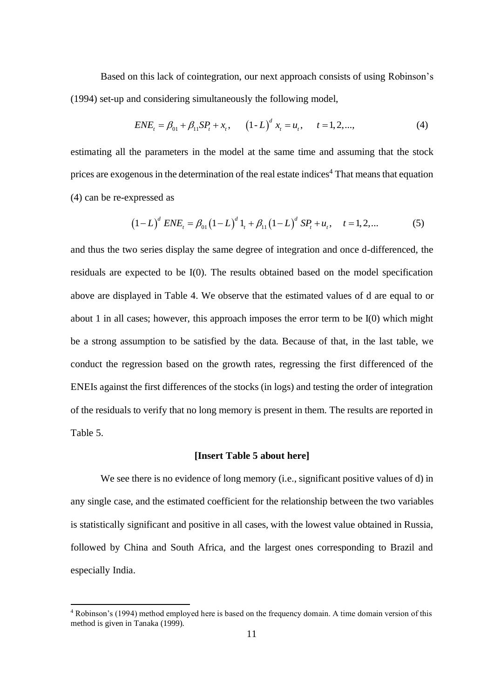Based on this lack of cointegration, our next approach consists of using Robinson's

(1994) set-up and considering simultaneously the following model,  
\n
$$
ENE_t = \beta_{01} + \beta_{11} SP_t + x_t, \qquad (1 - L)^d x_t = u_t, \qquad t = 1, 2, ..., \qquad (4)
$$

estimating all the parameters in the model at the same time and assuming that the stock prices are exogenous in the determination of the real estate indices<sup>4</sup> That means that equation (4) can be re-expressed as

xpressed as  
\n
$$
(1-L)^d ENE_t = \beta_{01} (1-L)^d 1_t + \beta_{11} (1-L)^d SP_t + u_t, \quad t = 1, 2, ...
$$
\n(5)

and thus the two series display the same degree of integration and once d-differenced, the residuals are expected to be I(0). The results obtained based on the model specification above are displayed in Table 4. We observe that the estimated values of d are equal to or about 1 in all cases; however, this approach imposes the error term to be I(0) which might be a strong assumption to be satisfied by the data. Because of that, in the last table, we conduct the regression based on the growth rates, regressing the first differenced of the ENEIs against the first differences of the stocks (in logs) and testing the order of integration of the residuals to verify that no long memory is present in them. The results are reported in Table 5.

#### **[Insert Table 5 about here]**

We see there is no evidence of long memory (i.e., significant positive values of d) in any single case, and the estimated coefficient for the relationship between the two variables is statistically significant and positive in all cases, with the lowest value obtained in Russia, followed by China and South Africa, and the largest ones corresponding to Brazil and especially India.

<sup>4</sup> Robinson's (1994) method employed here is based on the frequency domain. A time domain version of this method is given in Tanaka (1999).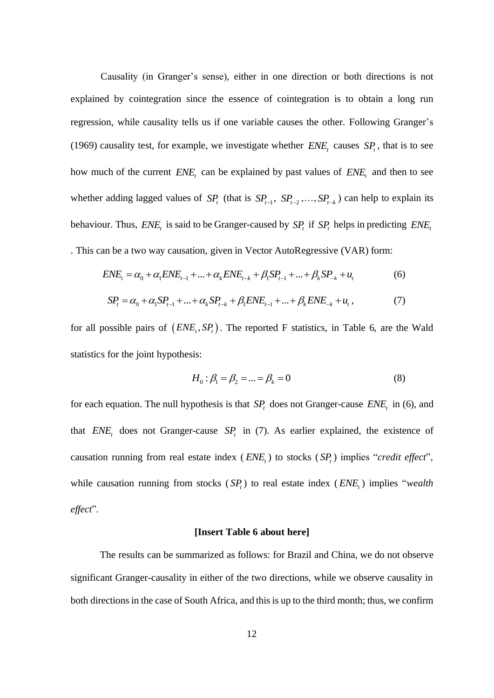Causality (in Granger's sense), either in one direction or both directions is not explained by cointegration since the essence of cointegration is to obtain a long run regression, while causality tells us if one variable causes the other. Following Granger's (1969) causality test, for example, we investigate whether  $ENE_t$  causes  $SP_t$ , that is to see how much of the current  $ENE_t$  can be explained by past values of  $ENE_t$  and then to see whether adding lagged values of  $SP_t$  (that is  $SP_{t-1}$ ,  $SP_{t-2}$ ,...,  $SP_{t-k}$ ) can help to explain its behaviour. Thus,  $ENE_t$  is said to be Granger-caused by  $SP_t$  if  $SP_t$  helps in predicting  $ENE_t$ This can be a two way causation, given in Vector AutoRegressive (VAR) form:<br> $ENE_t = \alpha_0 + \alpha_1 ENE_{t-1} + ... + \alpha_k ENE_{t-k} + \beta_1 SP_{t-1} + ... + \beta_k SP_{-k} + u_t$ 

$$
ENE_t = \alpha_0 + \alpha_1 ENE_{t-1} + ... + \alpha_k ENE_{t-k} + \beta_1 SP_{t-1} + ... + \beta_k SP_{-k} + u_t
$$
 (6)

$$
ENE_{t} = \alpha_{0} + \alpha_{1} ENE_{t-1} + ... + \alpha_{k} ENE_{t-k} + \beta_{1} SP_{t-1} + ... + \beta_{k} SP_{-k} + u_{t}
$$
(6)  

$$
SP_{t} = \alpha_{0} + \alpha_{1} SP_{t-1} + ... + \alpha_{k} SP_{t-k} + \beta_{1} ENE_{t-1} + ... + \beta_{k} ENE_{-k} + u_{t},
$$
(7)

for all possible pairs of  $(ENE_t, SP_t)$ . The reported F statistics, in Table 6, are the Wald statistics for the joint hypothesis:

$$
H_0: \beta_1 = \beta_2 = ... = \beta_k = 0
$$
 (8)

for each equation. The null hypothesis is that  $SP_t$  does not Granger-cause  $ENE_t$  in (6), and that  $ENE_t$  does not Granger-cause  $SP_t$  in (7). As earlier explained, the existence of causation running from real estate index ( $ENE_t$ ) to stocks ( $SP_t$ ) implies "*credit effect*", while causation running from stocks  $(SP_t)$  to real estate index  $(ENE_t)$  implies "*wealth effect*".

#### **[Insert Table 6 about here]**

The results can be summarized as follows: for Brazil and China, we do not observe significant Granger-causality in either of the two directions, while we observe causality in both directions in the case of South Africa, and this is up to the third month; thus, we confirm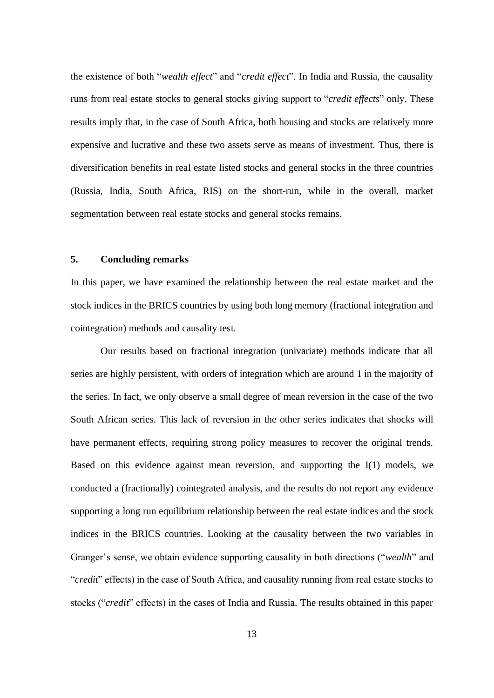the existence of both "*wealth effect*" and "*credit effect*". In India and Russia, the causality runs from real estate stocks to general stocks giving support to "*credit effects*" only. These results imply that, in the case of South Africa, both housing and stocks are relatively more expensive and lucrative and these two assets serve as means of investment. Thus, there is diversification benefits in real estate listed stocks and general stocks in the three countries (Russia, India, South Africa, RIS) on the short-run, while in the overall, market segmentation between real estate stocks and general stocks remains.

#### **5. Concluding remarks**

In this paper, we have examined the relationship between the real estate market and the stock indices in the BRICS countries by using both long memory (fractional integration and cointegration) methods and causality test.

Our results based on fractional integration (univariate) methods indicate that all series are highly persistent, with orders of integration which are around 1 in the majority of the series. In fact, we only observe a small degree of mean reversion in the case of the two South African series. This lack of reversion in the other series indicates that shocks will have permanent effects, requiring strong policy measures to recover the original trends. Based on this evidence against mean reversion, and supporting the I(1) models, we conducted a (fractionally) cointegrated analysis, and the results do not report any evidence supporting a long run equilibrium relationship between the real estate indices and the stock indices in the BRICS countries. Looking at the causality between the two variables in Granger's sense, we obtain evidence supporting causality in both directions ("*wealth*" and "*credit*" effects) in the case of South Africa, and causality running from real estate stocks to stocks ("*credit*" effects) in the cases of India and Russia. The results obtained in this paper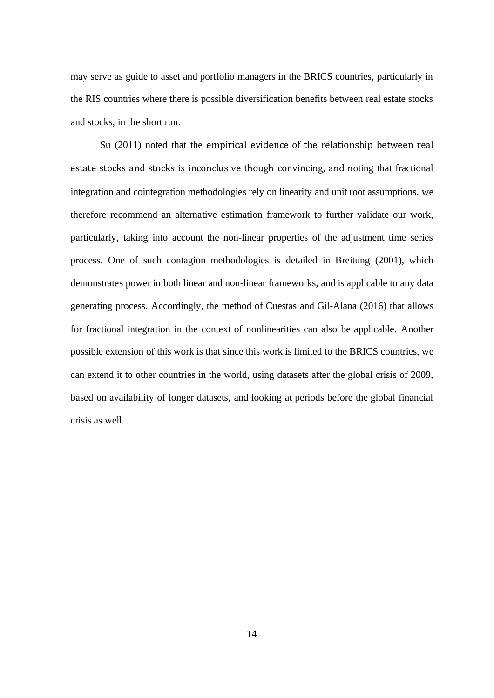may serve as guide to asset and portfolio managers in the BRICS countries, particularly in the RIS countries where there is possible diversification benefits between real estate stocks and stocks, in the short run.

Su (2011) noted that the empirical evidence of the relationship between real estate stocks and stocks is inconclusive though convincing, and noting that fractional integration and cointegration methodologies rely on linearity and unit root assumptions, we therefore recommend an alternative estimation framework to further validate our work, particularly, taking into account the non-linear properties of the adjustment time series process. One of such contagion methodologies is detailed in Breitung (2001), which demonstrates power in both linear and non-linear frameworks, and is applicable to any data generating process. Accordingly, the method of Cuestas and Gil-Alana (2016) that allows for fractional integration in the context of nonlinearities can also be applicable. Another possible extension of this work is that since this work is limited to the BRICS countries, we can extend it to other countries in the world, using datasets after the global crisis of 2009, based on availability of longer datasets, and looking at periods before the global financial crisis as well.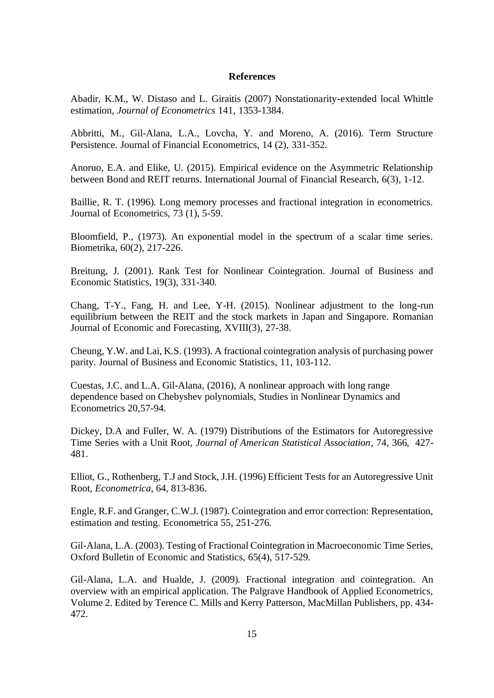#### **References**

Abadir, K.M., W. Distaso and L. Giraitis (2007) Nonstationarity-extended local Whittle estimation, *Journal of Econometrics* 141, 1353-1384.

Abbritti, M., Gil-Alana, L.A., Lovcha, Y. and Moreno, A. (2016). Term Structure Persistence. Journal of Financial Econometrics, 14 (2), 331-352.

Anoruo, E.A. and Elike, U. (2015). Empirical evidence on the Asymmetric Relationship between Bond and REIT returns. International Journal of Financial Research, 6(3), 1-12.

Baillie, R. T. (1996). Long memory processes and fractional integration in econometrics. Journal of Econometrics, 73 (1), 5-59.

Bloomfield, P., (1973). An exponential model in the spectrum of a scalar time series. Biometrika, 60(2), 217-226.

Breitung, J. (2001). Rank Test for Nonlinear Cointegration. Journal of Business and Economic Statistics, 19(3), 331-340.

Chang, T-Y., Fang, H. and Lee, Y-H. (2015). Nonlinear adjustment to the long-run equilibrium between the REIT and the stock markets in Japan and Singapore. Romanian Journal of Economic and Forecasting, XVIII(3), 27-38.

Cheung, Y.W. and Lai, K.S. (1993). A fractional cointegration analysis of purchasing power parity. Journal of Business and Economic Statistics, 11, 103-112.

Cuestas, J.C. and L.A. Gil-Alana, (2016), A nonlinear approach with long range dependence based on Chebyshev polynomials, Studies in Nonlinear Dynamics and Econometrics 20,57-94.

Dickey, D.A and Fuller, W. A. (1979) Distributions of the Estimators for Autoregressive Time Series with a Unit Root*, Journal of American Statistical Association*, 74, 366, 427- 481.

Elliot, G., Rothenberg, T.J and Stock, J.H. (1996) Efficient Tests for an Autoregressive Unit Root, *Econometrica*, 64, 813-836.

Engle, R.F. and Granger, C.W.J. (1987). Cointegration and error correction: Representation, estimation and testing. Econometrica 55, 251-276.

Gil-Alana, L.A. (2003). Testing of Fractional Cointegration in Macroeconomic Time Series, Oxford Bulletin of Economic and Statistics, 65(4), 517-529.

Gil-Alana, L.A. and Hualde, J. (2009). Fractional integration and cointegration. An overview with an empirical application. The Palgrave Handbook of Applied Econometrics, Volume 2. Edited by Terence C. Mills and Kerry Patterson, MacMillan Publishers, pp. 434- 472.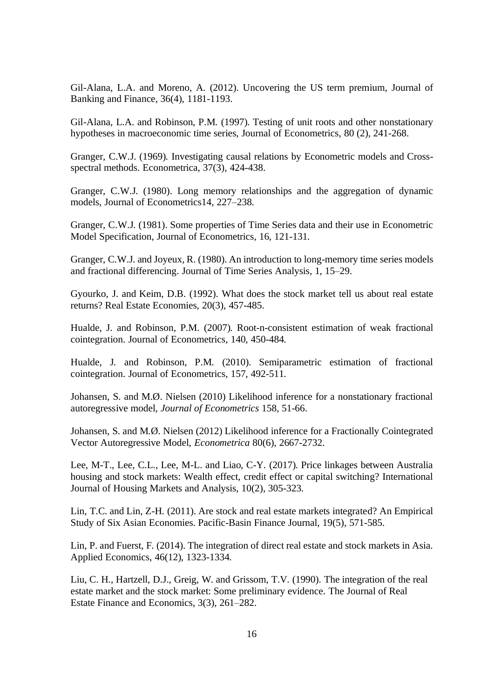Gil-Alana, L.A. and Moreno, A. (2012). Uncovering the US term premium, Journal of Banking and Finance, 36(4), 1181-1193.

Gil-Alana, L.A. and Robinson, P.M. (1997). Testing of unit roots and other nonstationary hypotheses in macroeconomic time series, Journal of Econometrics, 80 (2), 241-268.

Granger, C.W.J. (1969). Investigating causal relations by Econometric models and Crossspectral methods. Econometrica, 37(3), 424-438.

Granger, C.W.J. (1980). Long memory relationships and the aggregation of dynamic models, Journal of Econometrics14, 227–238.

Granger, C.W.J. (1981). Some properties of Time Series data and their use in Econometric Model Specification, Journal of Econometrics, 16, 121-131.

Granger, C.W.J. and Joyeux, R. (1980). An introduction to long-memory time series models and fractional differencing. Journal of Time Series Analysis, 1, 15–29.

Gyourko, J. and Keim, D.B. (1992). What does the stock market tell us about real estate returns? Real Estate Economies, 20(3), 457-485.

Hualde, J. and Robinson, P.M. (2007). Root-n-consistent estimation of weak fractional cointegration. Journal of Econometrics, 140, 450-484.

Hualde, J. and Robinson, P.M. (2010). Semiparametric estimation of fractional cointegration. Journal of Econometrics, 157, 492-511.

Johansen, S. and M.Ø. Nielsen (2010) Likelihood inference for a nonstationary fractional autoregressive model, *Journal of Econometrics* 158, 51-66.

Johansen, S. and M.Ø. Nielsen (2012) Likelihood inference for a Fractionally Cointegrated Vector Autoregressive Model, *Econometrica* 80(6), 2667-2732.

Lee, M-T., Lee, C.L., Lee, M-L. and Liao, C-Y. (2017). Price linkages between Australia housing and stock markets: Wealth effect, credit effect or capital switching? International Journal of Housing Markets and Analysis, 10(2), 305-323.

Lin, T.C. and Lin, Z-H. (2011). Are stock and real estate markets integrated? An Empirical Study of Six Asian Economies. Pacific-Basin Finance Journal, 19(5), 571-585.

Lin, P. and Fuerst, F. (2014). The integration of direct real estate and stock markets in Asia. Applied Economics, 46(12), 1323-1334.

Liu, C. H., Hartzell, D.J., Greig, W. and Grissom, T.V. (1990). The integration of the real estate market and the stock market: Some preliminary evidence. [The Journal of Real](https://link.springer.com/journal/11146)  [Estate Finance and Economics,](https://link.springer.com/journal/11146) 3(3), 261–282.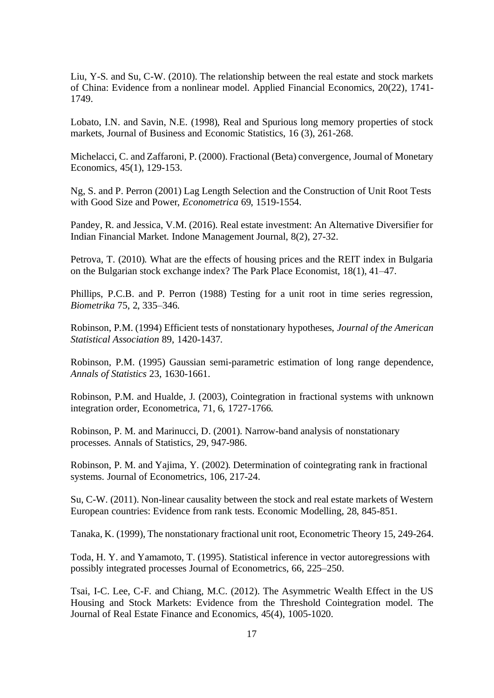Liu, Y-S. and Su, C-W. (2010). The relationship between the real estate and stock markets of China: Evidence from a nonlinear model. Applied Financial Economics, 20(22), 1741- 1749.

Lobato, I.N. and Savin, N.E. (1998), Real and Spurious long memory properties of stock markets, Journal of Business and Economic Statistics, 16 (3), 261-268.

Michelacci, C. and Zaffaroni, P. (2000). Fractional (Beta) convergence, Journal of Monetary Economics, 45(1), 129-153.

Ng, S. and P. Perron (2001) Lag Length Selection and the Construction of Unit Root Tests with Good Size and Power, *Econometrica* 69, 1519-1554.

Pandey, R. and Jessica, V.M. (2016). Real estate investment: An Alternative Diversifier for Indian Financial Market. Indone Management Journal, 8(2), 27-32.

Petrova, T. (2010). What are the effects of housing prices and the REIT index in Bulgaria on the Bulgarian stock exchange index? The Park Place Economist, 18(1), 41–47.

Phillips, P.C.B. and P. Perron (1988) Testing for a unit root in time series regression, *Biometrika* 75, 2, 335–346.

Robinson, P.M. (1994) Efficient tests of nonstationary hypotheses, *Journal of the American Statistical Association* 89, 1420-1437.

Robinson, P.M. (1995) Gaussian semi-parametric estimation of long range dependence, *Annals of Statistics* 23, 1630-1661.

Robinson, P.M. and Hualde, J. (2003), Cointegration in fractional systems with unknown integration order, Econometrica, 71, 6, 1727-1766.

Robinson, P. M. and Marinucci, D. (2001). Narrow-band analysis of nonstationary processes. Annals of Statistics, 29, 947-986.

Robinson, P. M. and Yajima, Y. (2002). Determination of cointegrating rank in fractional systems. Journal of Econometrics, 106, 217-24.

Su, C-W. (2011). Non-linear causality between the stock and real estate markets of Western European countries: Evidence from rank tests. Economic Modelling, 28, 845-851.

Tanaka, K. (1999), The nonstationary fractional unit root, Econometric Theory 15, 249-264.

Toda, H. Y. and Yamamoto, T. (1995). Statistical inference in vector autoregressions with possibly integrated processes Journal of Econometrics, 66, 225–250.

Tsai, I-C. Lee, C-F. and Chiang, M.C. (2012). The Asymmetric Wealth Effect in the US Housing and Stock Markets: Evidence from the Threshold Cointegration model. The Journal of Real Estate Finance and Economics, 45(4), 1005-1020.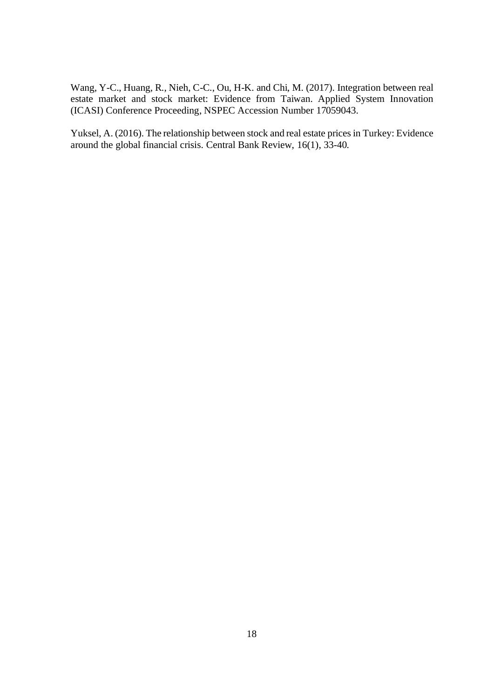Wang, Y-C., Huang, R., Nieh, C-C., Ou, H-K. and Chi, M. (2017). Integration between real estate market and stock market: Evidence from Taiwan. Applied System Innovation (ICASI) Conference Proceeding, NSPEC Accession Number 17059043.

Yuksel, A. (2016). The relationship between stock and real estate prices in Turkey: Evidence around the global financial crisis. Central Bank Review, 16(1), 33-40.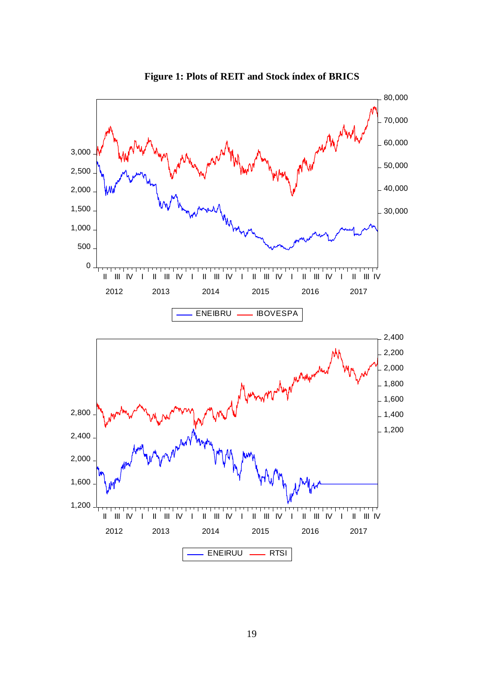

**Figure 1: Plots of REIT and Stock índex of BRICS**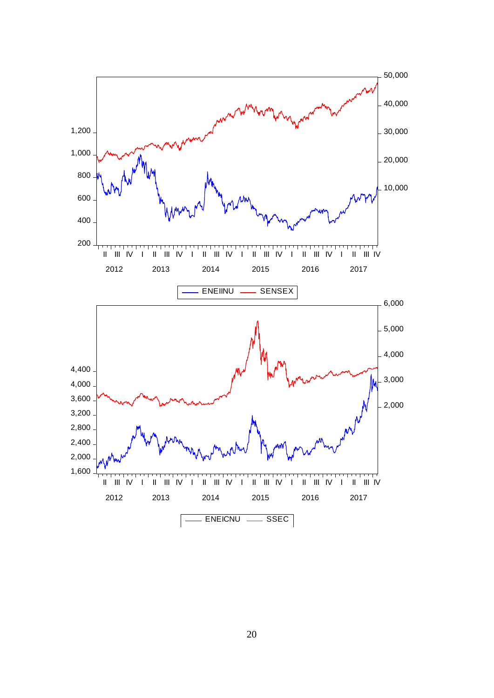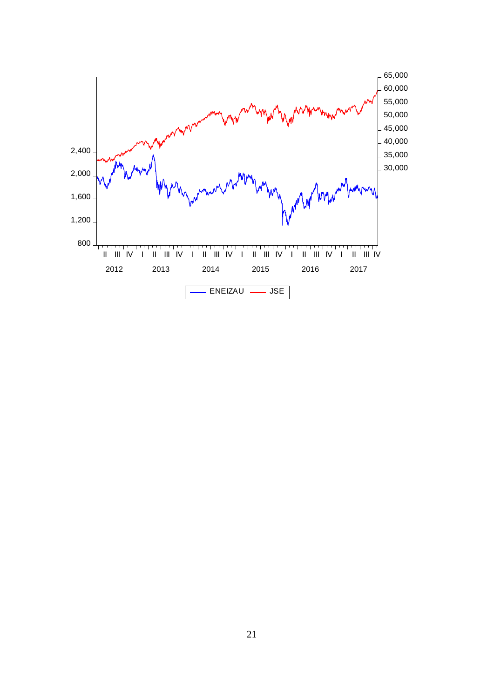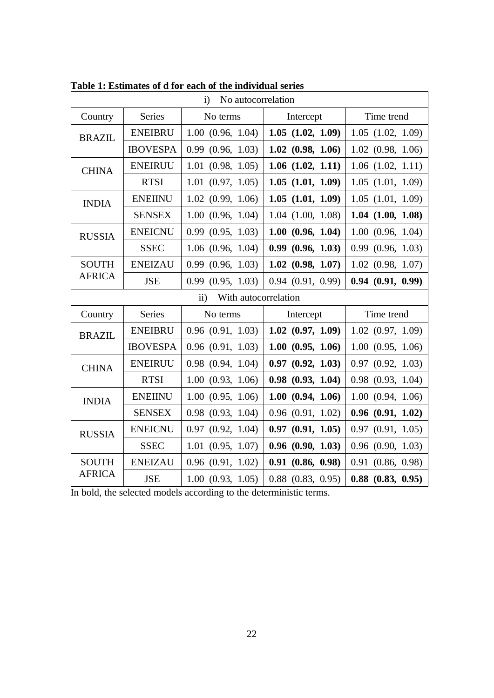| No autocorrelation<br>$\mathbf{i}$ |                 |                                         |                       |                       |  |
|------------------------------------|-----------------|-----------------------------------------|-----------------------|-----------------------|--|
| Country                            | <b>Series</b>   | No terms                                | Intercept             | Time trend            |  |
| <b>BRAZIL</b>                      | <b>ENEIBRU</b>  | 1.00(0.96, 1.04)                        | $1.05$ $(1.02, 1.09)$ | $1.05$ $(1.02, 1.09)$ |  |
|                                    | <b>IBOVESPA</b> | 0.99(0.96, 1.03)                        | $1.02$ (0.98, 1.06)   | $1.02$ $(0.98, 1.06)$ |  |
| <b>CHINA</b>                       | <b>ENEIRUU</b>  | $1.01$ $(0.98, 1.05)$                   | $1.06$ $(1.02, 1.11)$ | $1.06$ $(1.02, 1.11)$ |  |
|                                    | <b>RTSI</b>     | $1.01$ $(0.97, 1.05)$                   | $1.05$ $(1.01, 1.09)$ | $1.05$ $(1.01, 1.09)$ |  |
| <b>INDIA</b>                       | <b>ENEIINU</b>  | $1.02$ $(0.99, 1.06)$                   | $1.05$ $(1.01, 1.09)$ | $1.05$ $(1.01, 1.09)$ |  |
|                                    | <b>SENSEX</b>   | $1.00$ $(0.96, 1.04)$                   | $1.04$ $(1.00, 1.08)$ | $1.04$ $(1.00, 1.08)$ |  |
| <b>RUSSIA</b>                      | <b>ENEICNU</b>  | $0.99$ $(0.95, 1.03)$                   | $1.00$ $(0.96, 1.04)$ | $1.00$ $(0.96, 1.04)$ |  |
|                                    | <b>SSEC</b>     | $1.06$ $(0.96, 1.04)$                   | 0.99(0.96, 1.03)      | 0.99(0.96, 1.03)      |  |
| <b>SOUTH</b>                       | <b>ENEIZAU</b>  | 0.99(0.96, 1.03)                        | $1.02$ $(0.98, 1.07)$ | $1.02$ $(0.98, 1.07)$ |  |
| <b>AFRICA</b>                      | <b>JSE</b>      | 0.99(0.95, 1.03)                        | $0.94$ $(0.91, 0.99)$ | 0.94(0.91, 0.99)      |  |
|                                    |                 | With autocorrelation<br>$\overline{11}$ |                       |                       |  |
| Country                            | <b>Series</b>   | No terms                                | Intercept             | Time trend            |  |
| <b>BRAZIL</b>                      | <b>ENEIBRU</b>  | $0.96$ $(0.91, 1.03)$                   | $1.02$ $(0.97, 1.09)$ | $1.02$ $(0.97, 1.09)$ |  |
|                                    | <b>IBOVESPA</b> | $0.96$ $(0.91, 1.03)$                   | $1.00$ $(0.95, 1.06)$ | $1.00$ $(0.95, 1.06)$ |  |
| <b>CHINA</b>                       | <b>ENEIRUU</b>  | $0.98$ $(0.94, 1.04)$                   | $0.97$ $(0.92, 1.03)$ | $0.97$ $(0.92, 1.03)$ |  |
|                                    | <b>RTSI</b>     | $1.00$ $(0.93, 1.06)$                   | $0.98$ $(0.93, 1.04)$ | $0.98$ $(0.93, 1.04)$ |  |
| <b>INDIA</b>                       | <b>ENEIINU</b>  | $1.00$ $(0.95, 1.06)$                   | $1.00$ $(0.94, 1.06)$ | 1.00(0.94, 1.06)      |  |
|                                    | <b>SENSEX</b>   | $0.98$ $(0.93, 1.04)$                   | $0.96$ $(0.91, 1.02)$ | $0.96$ $(0.91, 1.02)$ |  |
| <b>RUSSIA</b>                      | <b>ENEICNU</b>  | $0.97$ $(0.92, 1.04)$                   | $0.97$ $(0.91, 1.05)$ | 0.97(0.91, 1.05)      |  |
|                                    | <b>SSEC</b>     | $1.01$ $(0.95, 1.07)$                   | $0.96$ $(0.90, 1.03)$ | $0.96$ $(0.90, 1.03)$ |  |
| <b>SOUTH</b><br><b>AFRICA</b>      | <b>ENEIZAU</b>  | $0.96$ $(0.91, 1.02)$                   | $0.91$ $(0.86, 0.98)$ | $0.91$ $(0.86, 0.98)$ |  |
|                                    | <b>JSE</b>      | 1.00(0.93, 1.05)                        | $0.88$ $(0.83, 0.95)$ | $0.88$ $(0.83, 0.95)$ |  |

**Table 1: Estimates of d for each of the individual series**

In bold, the selected models according to the deterministic terms.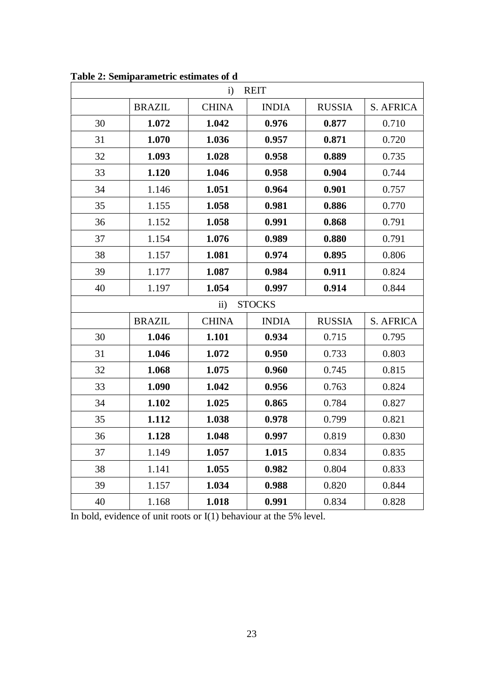| $\mathbf{i}$<br><b>REIT</b> |               |                   |                |                |                  |
|-----------------------------|---------------|-------------------|----------------|----------------|------------------|
|                             | <b>BRAZIL</b> | <b>CHINA</b>      | <b>INDIA</b>   | <b>RUSSIA</b>  | S. AFRICA        |
| 30                          | 1.072         | 1.042             | 0.976          | 0.877          | 0.710            |
| 31                          | 1.070         | 1.036             | 0.957          | 0.871          | 0.720            |
| 32                          | 1.093         | 1.028             | 0.958          | 0.889          | 0.735            |
| 33                          | 1.120         | 1.046             | 0.958          | 0.904          | 0.744            |
| 34                          | 1.146         | 1.051             | 0.964          | 0.901          | 0.757            |
| 35                          | 1.155         | 1.058             | 0.981          | 0.886<br>0.770 |                  |
| 36                          | 1.152         | 1.058             | 0.991          | 0.868          | 0.791            |
| 37                          | 1.154         | 1.076             | 0.989          | 0.880          | 0.791            |
| 38                          | 1.157         | 1.081             | 0.974          | 0.895          | 0.806            |
| 39                          | 1.177         | 1.087             | 0.984          | 0.911          | 0.824            |
| 40                          | 1.197         | 1.054             | 0.997          | 0.914          | 0.844            |
|                             |               | $\ddot{\text{1}}$ | <b>STOCKS</b>  |                |                  |
|                             | <b>BRAZIL</b> | <b>CHINA</b>      | <b>INDIA</b>   | <b>RUSSIA</b>  | <b>S. AFRICA</b> |
| 30                          | 1.046         | 1.101             | 0.934          | 0.715          | 0.795            |
| 31                          | 1.046         | 1.072             | 0.950          | 0.733          | 0.803            |
| 32                          | 1.068         | 1.075             | 0.960          | 0.745          | 0.815            |
| 33                          | 1.090         | 1.042             | 0.956<br>0.763 |                | 0.824            |
| 34                          | 1.102         | 1.025             | 0.865<br>0.784 |                | 0.827            |
| 35                          | 1.112         | 1.038             | 0.799<br>0.978 |                | 0.821            |
| 36                          | 1.128         | 1.048             | 0.997<br>0.819 |                | 0.830            |
| 37                          | 1.149         | 1.057             | 1.015          | 0.834<br>0.835 |                  |
| 38                          | 1.141         | 1.055             | 0.982          | 0.804          | 0.833            |
| 39                          | 1.157         | 1.034             | 0.988          | 0.820          | 0.844            |
| 40                          | 1.168         | 1.018             | 0.991          | 0.834          | 0.828            |

**Table 2: Semiparametric estimates of d**

In bold, evidence of unit roots or I(1) behaviour at the 5% level.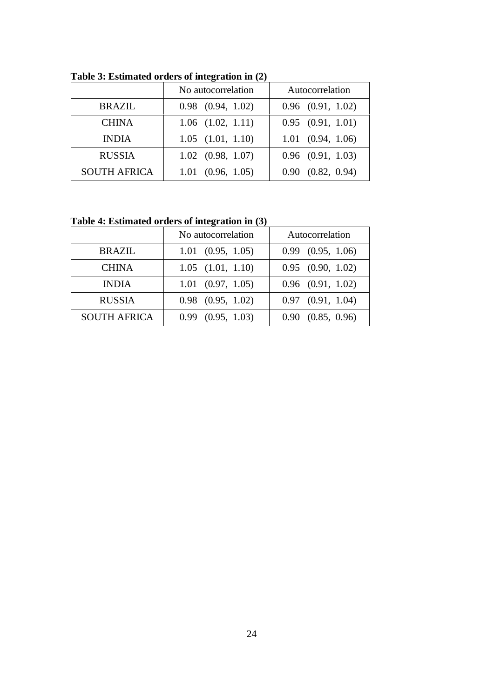|                     | No autocorrelation    | Autocorrelation       |  |
|---------------------|-----------------------|-----------------------|--|
| <b>BRAZIL</b>       | $0.98$ $(0.94, 1.02)$ | $0.96$ $(0.91, 1.02)$ |  |
| <b>CHINA</b>        | $1.06$ $(1.02, 1.11)$ | $0.95$ $(0.91, 1.01)$ |  |
| <b>INDIA</b>        | $1.05$ $(1.01, 1.10)$ | $1.01$ $(0.94, 1.06)$ |  |
| <b>RUSSIA</b>       | $1.02$ $(0.98, 1.07)$ | $0.96$ $(0.91, 1.03)$ |  |
| <b>SOUTH AFRICA</b> | $1.01$ $(0.96, 1.05)$ | $0.90$ $(0.82, 0.94)$ |  |

**Table 3: Estimated orders of integration in (2)**

**Table 4: Estimated orders of integration in (3)**

|                     | No autocorrelation    | Autocorrelation       |  |
|---------------------|-----------------------|-----------------------|--|
| <b>BRAZIL</b>       | $1.01$ $(0.95, 1.05)$ | $0.99$ $(0.95, 1.06)$ |  |
| <b>CHINA</b>        | $1.05$ $(1.01, 1.10)$ | $0.95$ $(0.90, 1.02)$ |  |
| <b>INDIA</b>        | $1.01$ $(0.97, 1.05)$ | $0.96$ $(0.91, 1.02)$ |  |
| <b>RUSSIA</b>       | $0.98$ $(0.95, 1.02)$ | $0.97$ $(0.91, 1.04)$ |  |
| <b>SOUTH AFRICA</b> | $0.99$ $(0.95, 1.03)$ | $0.90$ $(0.85, 0.96)$ |  |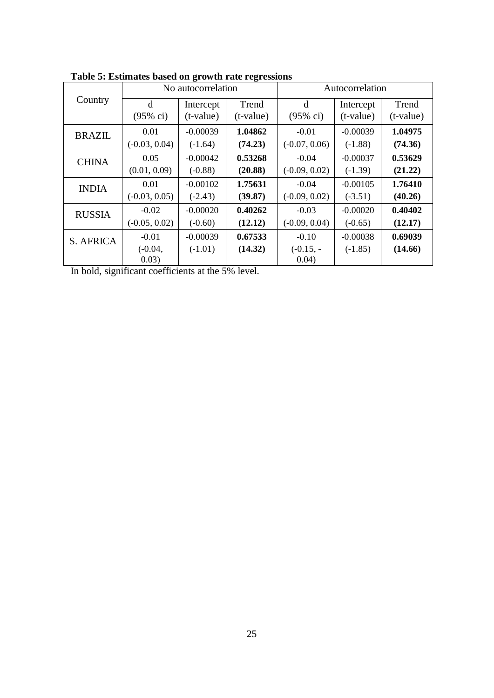| Country       | No autocorrelation    |             |             | Autocorrelation      |             |             |
|---------------|-----------------------|-------------|-------------|----------------------|-------------|-------------|
|               | d                     | Intercept   | Trend       | d                    | Intercept   | Trend       |
|               | (95% c <sub>i</sub> ) | $(t-value)$ | $(t-value)$ | $(95% \; \text{ci})$ | $(t-value)$ | $(t-value)$ |
| <b>BRAZIL</b> | 0.01                  | $-0.00039$  | 1.04862     | $-0.01$              | $-0.00039$  | 1.04975     |
|               | $(-0.03, 0.04)$       | $(-1.64)$   | (74.23)     | $(-0.07, 0.06)$      | $(-1.88)$   | (74.36)     |
| <b>CHINA</b>  | 0.05                  | $-0.00042$  | 0.53268     | $-0.04$              | $-0.00037$  | 0.53629     |
|               | (0.01, 0.09)          | $(-0.88)$   | (20.88)     | $(-0.09, 0.02)$      | $(-1.39)$   | (21.22)     |
| <b>INDIA</b>  | 0.01                  | $-0.00102$  | 1.75631     | $-0.04$              | $-0.00105$  | 1.76410     |
|               | $(-0.03, 0.05)$       | $(-2.43)$   | (39.87)     | $(-0.09, 0.02)$      | $(-3.51)$   | (40.26)     |
| <b>RUSSIA</b> | $-0.02$               | $-0.00020$  | 0.40262     | $-0.03$              | $-0.00020$  | 0.40402     |
|               | $(-0.05, 0.02)$       | $(-0.60)$   | (12.12)     | $(-0.09, 0.04)$      | $(-0.65)$   | (12.17)     |
| S. AFRICA     | $-0.01$               | $-0.00039$  | 0.67533     | $-0.10$              | $-0.00038$  | 0.69039     |
|               | $(-0.04,$             | $(-1.01)$   | (14.32)     | $(-0.15, -$          | $(-1.85)$   | (14.66)     |
|               | 0.03)                 |             |             | 0.04)                |             |             |

**Table 5: Estimates based on growth rate regressions**

In bold, significant coefficients at the 5% level.